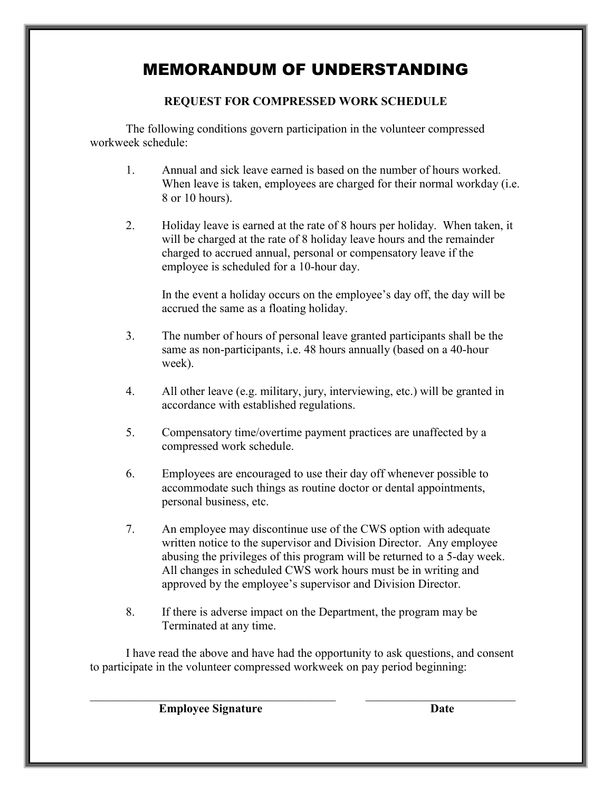## MEMORANDUM OF UNDERSTANDING

## **REQUEST FOR COMPRESSED WORK SCHEDULE**

The following conditions govern participation in the volunteer compressed workweek schedule:

- 1. Annual and sick leave earned is based on the number of hours worked. When leave is taken, employees are charged for their normal workday (i.e. 8 or 10 hours).
- 2. Holiday leave is earned at the rate of 8 hours per holiday. When taken, it will be charged at the rate of 8 holiday leave hours and the remainder charged to accrued annual, personal or compensatory leave if the employee is scheduled for a 10-hour day.

In the event a holiday occurs on the employee's day off, the day will be accrued the same as a floating holiday.

- 3. The number of hours of personal leave granted participants shall be the same as non-participants, i.e. 48 hours annually (based on a 40-hour week).
- 4. All other leave (e.g. military, jury, interviewing, etc.) will be granted in accordance with established regulations.
- 5. Compensatory time/overtime payment practices are unaffected by a compressed work schedule.
- 6. Employees are encouraged to use their day off whenever possible to accommodate such things as routine doctor or dental appointments, personal business, etc.
- 7. An employee may discontinue use of the CWS option with adequate written notice to the supervisor and Division Director. Any employee abusing the privileges of this program will be returned to a 5-day week. All changes in scheduled CWS work hours must be in writing and approved by the employee's supervisor and Division Director.
- 8. If there is adverse impact on the Department, the program may be Terminated at any time.

I have read the above and have had the opportunity to ask questions, and consent to participate in the volunteer compressed workweek on pay period beginning:

 $\mathcal{L}_\text{max}$  , and the contribution of the contribution of the contribution of the contribution of the contribution of the contribution of the contribution of the contribution of the contribution of the contribution of t

**Employee Signature Date**